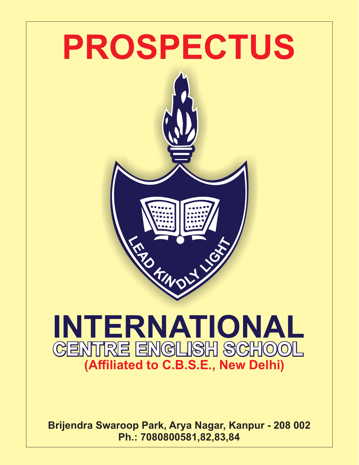# **PROSPECTUS**



# **INTERNATIONAL CENTRE ENGLISH SCHOOL (Affiliated to C.B.S.E., New Delhi)**

**Brijendra Swaroop Park, Arya Nagar, Kanpur - 208 002 Ph.: 7080800581,82,83,84**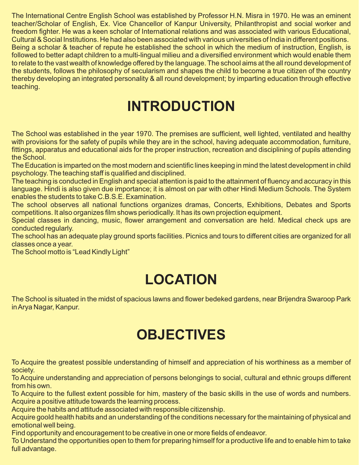The International Centre English School was established by Professor H.N. Misra in 1970. He was an eminent teacher/Scholar of English, Ex. Vice Chancellor of Kanpur University, Philanthropist and social worker and freedom fighter. He was a keen scholar of International relations and was associated with various Educational, Cultural & Social Institutions. He had also been associated with various universities of India in different positions. Being a scholar & teacher of repute he established the school in which the medium of instruction, English, is followed to better adapt children to a multi-lingual milieu and a diversified environment which would enable them to relate to the vast wealth of knowledge offered by the language. The school aims at the all round development of the students, follows the philosophy of secularism and shapes the child to become a true citizen of the country thereby developing an integrated personality & all round development; by imparting education through effective teaching.

# **INTRODUCTION**

The School was established in the year 1970. The premises are sufficient, well lighted, ventilated and healthy with provisions for the safety of pupils while they are in the school, having adequate accommodation, furniture, fittings, apparatus and educational aids for the proper instruction, recreation and disciplining of pupils attending the School.

The Education is imparted on the most modern and scientific lines keeping in mind the latest development in child psychology. The teaching staff is qualified and disciplined.

The teaching is conducted in English and special attention is paid to the attainment of fluency and accuracy in this language. Hindi is also given due importance; it is almost on par with other Hindi Medium Schools. The System enables the students to take C.B.S.E. Examination.

The school observes all national functions organizes dramas, Concerts, Exhibitions, Debates and Sports competitions. It also organizes film shows periodically. It has its own projection equipment.

Special classes in dancing, music, flower arrangement and conversation are held. Medical check ups are conducted regularly.

The school has an adequate play ground sports facilities. Picnics and tours to different cities are organized for all classes once a year.

The School motto is "Lead Kindly Light"

# **LOCATION**

The School is situated in the midst of spacious lawns and flower bedeked gardens, near Brijendra Swaroop Park in Arya Nagar, Kanpur.

# **OBJECTIVES**

To Acquire the greatest possible understanding of himself and appreciation of his worthiness as a member of society.

To Acquire understanding and appreciation of persons belongings to social, cultural and ethnic groups different from his own.

To Acquire to the fullest extent possible for him, mastery of the basic skills in the use of words and numbers. Acquire a positive attitude towards the learning process.

Acquire the habits and attitude associated with responsible citizenship.

Acquire goold health habits and an understanding of the conditions necessary for the maintaining of physical and emotional well being.

Find opportunity and encouragement to be creative in one or more fields of endeavor.

To Understand the opportunities open to them for preparing himself for a productive life and to enable him to take full advantage.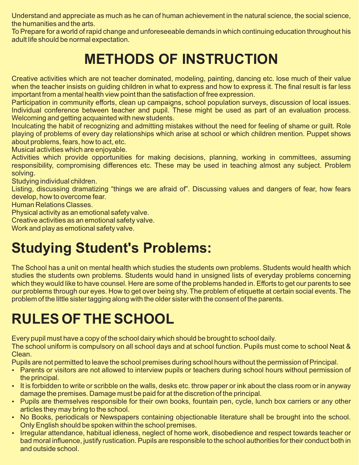Understand and appreciate as much as he can of human achievement in the natural science, the social science, the humanities and the arts.

To Prepare for a world of rapid change and unforeseeable demands in which continuing education throughout his adult life should be normal expectation.

# **METHODS OF INSTRUCTION**

Creative activities which are not teacher dominated, modeling, painting, dancing etc. lose much of their value when the teacher insists on guiding children in what to express and how to express it. The final result is far less important from a mental health view point than the satisfaction of free expression.

Participation in community efforts, clean up campaigns, school population surveys, discussion of local issues. Individual conference between teacher and pupil. These might be used as part of an evaluation process. Welcoming and getting acquainted with new students.

Inculcating the habit of recognizing and admitting mistakes without the need for feeling of shame or guilt. Role playing of problems of every day relationships which arise at school or which children mention. Puppet shows about problems, fears, how to act, etc.

Musical activities which are enjoyable.

Activities which provide opportunities for making decisions, planning, working in committees, assuming responsibility, compromising differences etc. These may be used in teaching almost any subject. Problem solving.

Studying individual children.

Listing, discussing dramatizing "things we are afraid of". Discussing values and dangers of fear, how fears develop, how to overcome fear.

Human Relations Classes.

Physical activity as an emotional safety valve.

Creative activities as an emotional safety valve.

Work and play as emotional safety valve.

### **Studying Student's Problems:**

The School has a unit on mental health which studies the students own problems. Students would health which studies the students own problems. Students would hand in unsigned lists of everyday problems concerning which they would like to have counsel. Here are some of the problems handed in. Efforts to get our parents to see our problems through our eyes. How to get over being shy. The problem of etiquette at certain social events. The problem of the little sister tagging along with the older sister with the consent of the parents.

# **RULES OF THE SCHOOL**

Every pupil must have a copy of the school dairy which should be brought to school daily.

The school uniform is compulsory on all school days and at school function. Pupils must come to school Neat & Clean.

Pupils are not permitted to leave the school premises during school hours without the permission of Principal.

- Parents or visitors are not allowed to interview pupils or teachers during school hours without permission of the principal.
- It is forbidden to write or scribble on the walls, desks etc. throw paper or ink about the class room or in anyway damage the premises. Damage must be paid for at the discretion of the principal.
- Pupils are themselves responsible for their own books, fountain pen, cycle, lunch box carriers or any other articles they may bring to the school.
- No Books, periodicals or Newspapers containing objectionable literature shall be brought into the school. Only English should be spoken within the school premises.
- Irregular attendance, habitual idleness, neglect of home work, disobedience and respect towards teacher or bad moral influence, justify rustication. Pupils are responsible to the school authorities for their conduct both in and outside school.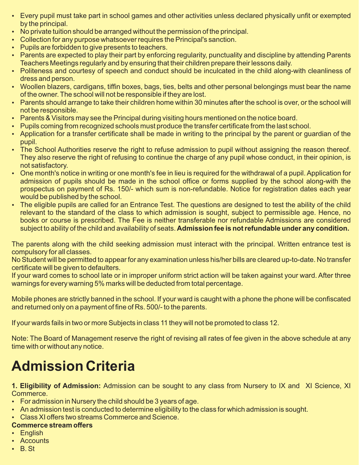- Every pupil must take part in school games and other activities unless declared physically unfit or exempted by the principal.
- No private tuition should be arranged without the permission of the principal.
- Collection for any purpose whatsoever requires the Principal's sanction.
- Pupils are forbidden to give presents to teachers.
- Parents are expected to play their part by enforcing regularity, punctuality and discipline by attending Parents Teachers Meetings regularly and by ensuring that their children prepare their lessons daily.
- Politeness and courtesy of speech and conduct should be inculcated in the child along-with cleanliness of dress and person.
- Woollen blazers, cardigans, tiffin boxes, bags, ties, belts and other personal belongings must bear the name of the owner. The school will not be responsible if they are lost.
- Parents should arrange to take their children home within 30 minutes after the school is over, or the school will not be responsible.
- Parents & Visitors may see the Principal during visiting hours mentioned on the notice board.
- Pupils coming from recognized schools must produce the transfer certificate from the last school.
- Application for a transfer certificate shall be made in writing to the principal by the parent or guardian of the pupil.
- The School Authorities reserve the right to refuse admission to pupil without assigning the reason thereof. They also reserve the right of refusing to continue the charge of any pupil whose conduct, in their opinion, is not satisfactory.
- One month's notice in writing or one month's fee in lieu is required for the withdrawal of a pupil. Application for admission of pupils should be made in the school office or forms supplied by the school along-with the prospectus on payment of Rs. 150/- which sum is non-refundable. Notice for registration dates each year would be published by the school.
- The eligible pupils are called for an Entrance Test. The questions are designed to test the ability of the child relevant to the standard of the class to which admission is sought, subject to permissible age. Hence, no books or course is prescribed. The Fee is neither transferable nor refundable Admissions are considered subject to ability of the child and availability of seats. **Admission fee is not refundable under any condition.**

The parents along with the child seeking admission must interact with the principal. Written entrance test is compulsory for all classes.

No Student will be permitted to appear for any examination unless his/her bills are cleared up-to-date. No transfer certificate will be given to defaulters.

If your ward comes to school late or in improper uniform strict action will be taken against your ward. After three warnings for every warning 5% marks will be deducted from total percentage.

Mobile phones are strictly banned in the school. If your ward is caught with a phone the phone will be confiscated and returned only on a payment of fine of Rs. 500/- to the parents.

If your wards fails in two or more Subjects in class 11 they will not be promoted to class 12.

Note: The Board of Management reserve the right of revising all rates of fee given in the above schedule at any time with or without any notice.

# **Admission Criteria**

**1. Eligibility of Admission:** Admission can be sought to any class from Nursery to IX and XI Science, XI Commerce.

- $\cdot$  For admission in Nursery the child should be 3 years of age.
- $\bullet$  An admission test is conducted to determine eligibility to the class for which admission is sought.
- Class XI offers two streams Commerce and Science.

#### **Commerce stream offers**

- $\cdot$  English
- Accounts
- $\cdot$  B. St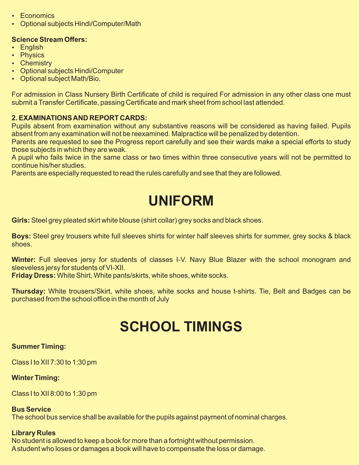- $\cdot$  Economics
- Optional subjects Hindi/Computer/Math

#### **Science Stream Offers:**

- $\cdot$  English
- Physics
- Chemistry
- Optional subjects Hindi/Computer
- Optional subject Math/Bio.

For admission in Class Nursery Birth Certificate of child is required For admission in any other class one must submit a Transfer Certificate, passing Certificate and mark sheet from school last attended.

#### **2. EXAMINATIONS AND REPORT CARDS:**

Pupils absent from examination without any substantive reasons will be considered as having failed. Pupils absent from any examination will not be reexamined. Malpractice will be penalized by detention.

Parents are requested to see the Progress report carefully and see their wards make a special efforts to study those subjects in which they are weak.

A pupil who fails twice in the same class or two times within three consecutive years will not be permitted to continue his/her studies.

Parents are especially requested to read the rules carefully and see that they are followed.

### **UNIFORM**

**Girls:**Steel grey pleated skirt white blouse (shirt collar) grey socks and black shoes.

**Boys:** Steel grey trousers white full sleeves shirts for winter half sleeves shirts for summer, grey socks & black shoes.

**Winter:** Full sleeves jersy for students of classes I-V. Navy Blue Blazer with the school monogram and sleeveless jersy for students of VI-XII.

**Friday Dress:** White Shirt, White pants/skirts, white shoes, white socks.

**Thursday:** White trousers/Skirt, white shoes, white socks and house t-shirts. Tie, Belt and Badges can be purchased from the school office in the month of July

### **SCHOOL TIMINGS**

#### **Summer Timing:**

Class I to XII 7:30 to 1:30 pm

#### **Winter Timing:**

Class I to XII 8:00 to 1:30 pm

#### **Bus Service**

The school bus service shall be available for the pupils against payment of nominal charges.

#### **Library Rules**

No student is allowed to keep a book for more than a fortnight without permission. Astudent who loses or damages a book will have to compensate the loss or damage.